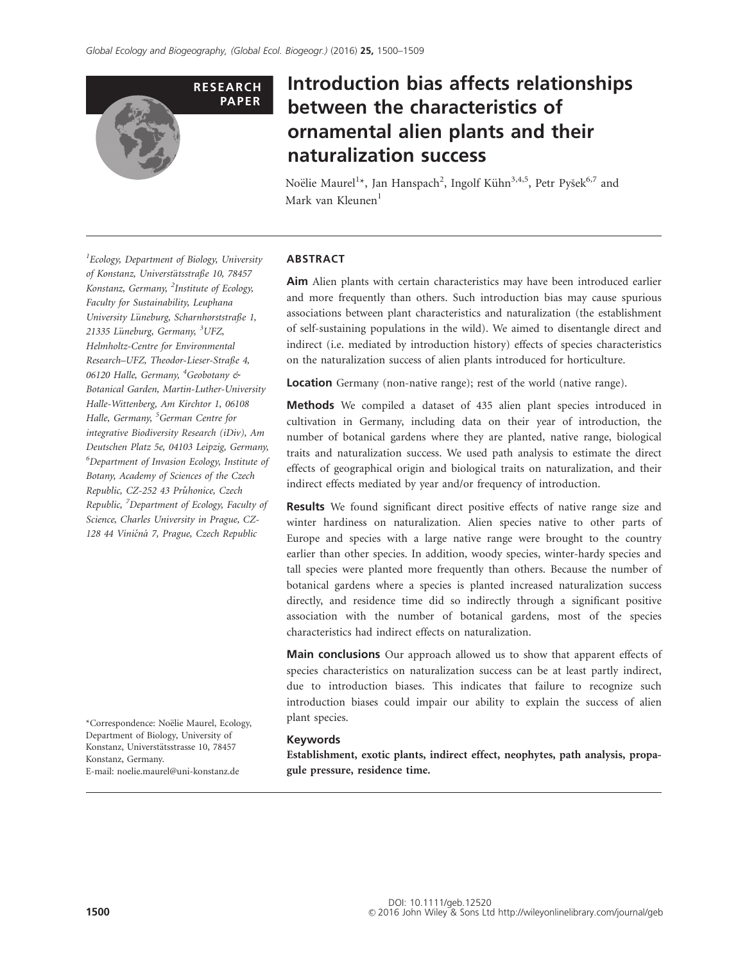

# Introduction bias affects relationships between the characteristics of ornamental alien plants and their naturalization success

Noëlie Maurel<sup>1</sup>\*, Jan Hanspach<sup>2</sup>, Ingolf Kühn<sup>3,4,5</sup>, Petr Pyšek<sup>6,7</sup> and Mark van Kleunen<sup>1</sup>

<sup>1</sup> Ecology, Department of Biology, University of Konstanz, Universtätsstraße 10, 78457 Konstanz, Germany, <sup>2</sup>Institute of Ecology, Faculty for Sustainability, Leuphana University Lüneburg, Scharnhorststraße 1, 21335 Lüneburg, Germany, <sup>3</sup>UFZ, Helmholtz-Centre for Environmental Research–UFZ, Theodor-Lieser-Straße 4, 06120 Halle, Germany, <sup>4</sup>Geobotany & Botanical Garden, Martin-Luther-University Halle-Wittenberg, Am Kirchtor 1, 06108 Halle, Germany, <sup>5</sup>German Centre for integrative Biodiversity Research (iDiv), Am Deutschen Platz 5e, 04103 Leipzig, Germany, 6 Department of Invasion Ecology, Institute of Botany, Academy of Sciences of the Czech Republic, CZ-252 43 Průhonice, Czech Republic, <sup>7</sup>Department of Ecology, Faculty of Science, Charles University in Prague, CZ-128 44 Viničná 7, Prague, Czech Republic

\*Correspondence: Noëlie Maurel, Ecology, Department of Biology, University of Konstanz, Universtätsstrasse 10, 78457 Konstanz, Germany. E-mail: [noelie.maurel@uni-konstanz.de](mailto:)

## ABSTRACT

Aim Alien plants with certain characteristics may have been introduced earlier and more frequently than others. Such introduction bias may cause spurious associations between plant characteristics and naturalization (the establishment of self-sustaining populations in the wild). We aimed to disentangle direct and indirect (i.e. mediated by introduction history) effects of species characteristics on the naturalization success of alien plants introduced for horticulture.

Location Germany (non-native range); rest of the world (native range).

Methods We compiled a dataset of 435 alien plant species introduced in cultivation in Germany, including data on their year of introduction, the number of botanical gardens where they are planted, native range, biological traits and naturalization success. We used path analysis to estimate the direct effects of geographical origin and biological traits on naturalization, and their indirect effects mediated by year and/or frequency of introduction.

Results We found significant direct positive effects of native range size and winter hardiness on naturalization. Alien species native to other parts of Europe and species with a large native range were brought to the country earlier than other species. In addition, woody species, winter-hardy species and tall species were planted more frequently than others. Because the number of botanical gardens where a species is planted increased naturalization success directly, and residence time did so indirectly through a significant positive association with the number of botanical gardens, most of the species characteristics had indirect effects on naturalization.

Main conclusions Our approach allowed us to show that apparent effects of species characteristics on naturalization success can be at least partly indirect, due to introduction biases. This indicates that failure to recognize such introduction biases could impair our ability to explain the success of alien plant species.

### Keywords

Establishment, exotic plants, indirect effect, neophytes, path analysis, propagule pressure, residence time.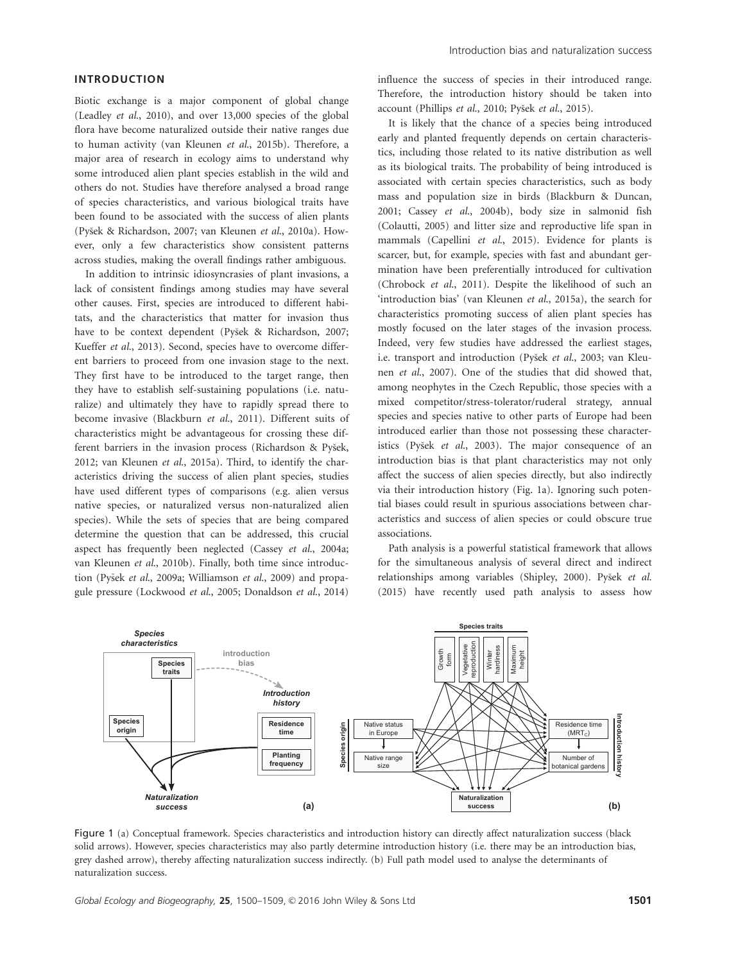## INTRODUCTION

Biotic exchange is a major component of global change (Leadley et al., 2010), and over 13,000 species of the global flora have become naturalized outside their native ranges due to human activity (van Kleunen et al., 2015b). Therefore, a major area of research in ecology aims to understand why some introduced alien plant species establish in the wild and others do not. Studies have therefore analysed a broad range of species characteristics, and various biological traits have been found to be associated with the success of alien plants (Pyšek & Richardson, 2007; van Kleunen et al., 2010a). However, only a few characteristics show consistent patterns across studies, making the overall findings rather ambiguous.

In addition to intrinsic idiosyncrasies of plant invasions, a lack of consistent findings among studies may have several other causes. First, species are introduced to different habitats, and the characteristics that matter for invasion thus have to be context dependent (Pyšek & Richardson, 2007; Kueffer et al., 2013). Second, species have to overcome different barriers to proceed from one invasion stage to the next. They first have to be introduced to the target range, then they have to establish self-sustaining populations (i.e. naturalize) and ultimately they have to rapidly spread there to become invasive (Blackburn et al., 2011). Different suits of characteristics might be advantageous for crossing these different barriers in the invasion process (Richardson & Pyšek, 2012; van Kleunen et al., 2015a). Third, to identify the characteristics driving the success of alien plant species, studies have used different types of comparisons (e.g. alien versus native species, or naturalized versus non-naturalized alien species). While the sets of species that are being compared determine the question that can be addressed, this crucial aspect has frequently been neglected (Cassey et al., 2004a; van Kleunen et al., 2010b). Finally, both time since introduction (Pyšek et al., 2009a; Williamson et al., 2009) and propagule pressure (Lockwood et al., 2005; Donaldson et al., 2014) influence the success of species in their introduced range. Therefore, the introduction history should be taken into account (Phillips et al., 2010; Pyšek et al., 2015).

It is likely that the chance of a species being introduced early and planted frequently depends on certain characteristics, including those related to its native distribution as well as its biological traits. The probability of being introduced is associated with certain species characteristics, such as body mass and population size in birds (Blackburn & Duncan, 2001; Cassey et al., 2004b), body size in salmonid fish (Colautti, 2005) and litter size and reproductive life span in mammals (Capellini et al., 2015). Evidence for plants is scarcer, but, for example, species with fast and abundant germination have been preferentially introduced for cultivation (Chrobock et al., 2011). Despite the likelihood of such an 'introduction bias' (van Kleunen et al., 2015a), the search for characteristics promoting success of alien plant species has mostly focused on the later stages of the invasion process. Indeed, very few studies have addressed the earliest stages, i.e. transport and introduction (Pyšek et al., 2003; van Kleunen et al., 2007). One of the studies that did showed that, among neophytes in the Czech Republic, those species with a mixed competitor/stress-tolerator/ruderal strategy, annual species and species native to other parts of Europe had been introduced earlier than those not possessing these characteristics (Pyšek et al., 2003). The major consequence of an introduction bias is that plant characteristics may not only affect the success of alien species directly, but also indirectly via their introduction history (Fig. 1a). Ignoring such potential biases could result in spurious associations between characteristics and success of alien species or could obscure true associations.

Path analysis is a powerful statistical framework that allows for the simultaneous analysis of several direct and indirect relationships among variables (Shipley, 2000). Pyšek et al. (2015) have recently used path analysis to assess how



Figure 1 (a) Conceptual framework. Species characteristics and introduction history can directly affect naturalization success (black solid arrows). However, species characteristics may also partly determine introduction history (i.e. there may be an introduction bias, grey dashed arrow), thereby affecting naturalization success indirectly. (b) Full path model used to analyse the determinants of naturalization success.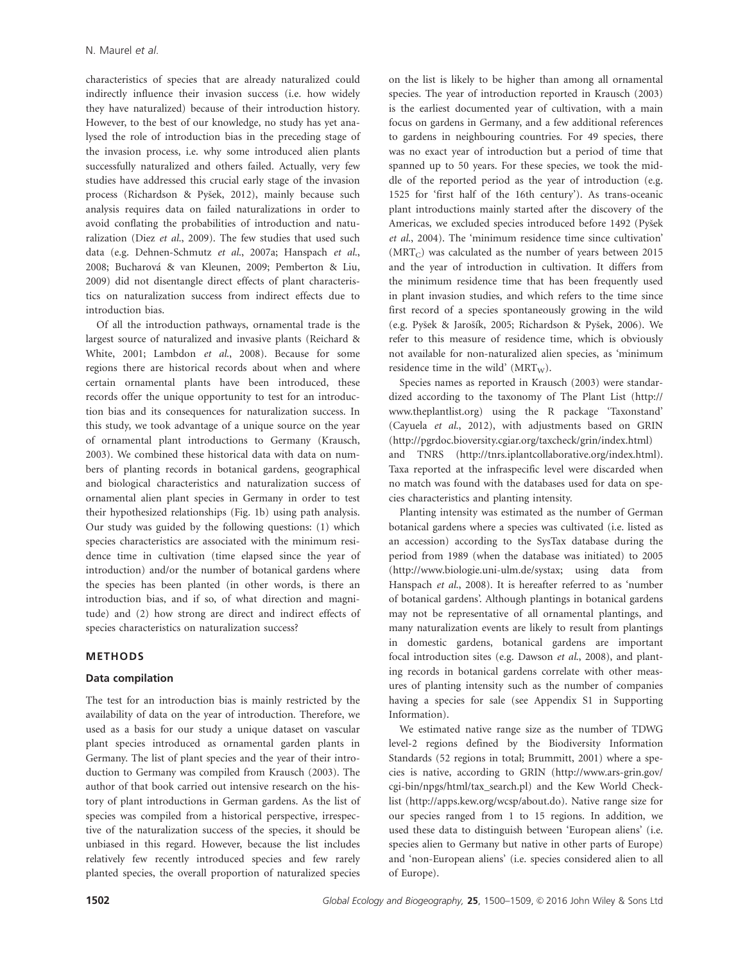characteristics of species that are already naturalized could indirectly influence their invasion success (i.e. how widely they have naturalized) because of their introduction history. However, to the best of our knowledge, no study has yet analysed the role of introduction bias in the preceding stage of the invasion process, i.e. why some introduced alien plants successfully naturalized and others failed. Actually, very few studies have addressed this crucial early stage of the invasion process (Richardson & Pyšek, 2012), mainly because such analysis requires data on failed naturalizations in order to avoid conflating the probabilities of introduction and naturalization (Diez et al., 2009). The few studies that used such data (e.g. Dehnen-Schmutz et al., 2007a; Hanspach et al., 2008; Bucharova & van Kleunen, 2009; Pemberton & Liu, 2009) did not disentangle direct effects of plant characteristics on naturalization success from indirect effects due to introduction bias.

Of all the introduction pathways, ornamental trade is the largest source of naturalized and invasive plants (Reichard & White, 2001; Lambdon et al., 2008). Because for some regions there are historical records about when and where certain ornamental plants have been introduced, these records offer the unique opportunity to test for an introduction bias and its consequences for naturalization success. In this study, we took advantage of a unique source on the year of ornamental plant introductions to Germany (Krausch, 2003). We combined these historical data with data on numbers of planting records in botanical gardens, geographical and biological characteristics and naturalization success of ornamental alien plant species in Germany in order to test their hypothesized relationships (Fig. 1b) using path analysis. Our study was guided by the following questions: (1) which species characteristics are associated with the minimum residence time in cultivation (time elapsed since the year of introduction) and/or the number of botanical gardens where the species has been planted (in other words, is there an introduction bias, and if so, of what direction and magnitude) and (2) how strong are direct and indirect effects of species characteristics on naturalization success?

## METHODS

#### Data compilation

The test for an introduction bias is mainly restricted by the availability of data on the year of introduction. Therefore, we used as a basis for our study a unique dataset on vascular plant species introduced as ornamental garden plants in Germany. The list of plant species and the year of their introduction to Germany was compiled from Krausch (2003). The author of that book carried out intensive research on the history of plant introductions in German gardens. As the list of species was compiled from a historical perspective, irrespective of the naturalization success of the species, it should be unbiased in this regard. However, because the list includes relatively few recently introduced species and few rarely planted species, the overall proportion of naturalized species on the list is likely to be higher than among all ornamental species. The year of introduction reported in Krausch (2003) is the earliest documented year of cultivation, with a main focus on gardens in Germany, and a few additional references to gardens in neighbouring countries. For 49 species, there was no exact year of introduction but a period of time that spanned up to 50 years. For these species, we took the middle of the reported period as the year of introduction (e.g. 1525 for 'first half of the 16th century'). As trans-oceanic plant introductions mainly started after the discovery of the Americas, we excluded species introduced before 1492 (Pyšek et al., 2004). The 'minimum residence time since cultivation'  $(MRT<sub>C</sub>)$  was calculated as the number of years between 2015 and the year of introduction in cultivation. It differs from the minimum residence time that has been frequently used in plant invasion studies, and which refers to the time since first record of a species spontaneously growing in the wild (e.g. Pyšek & Jarošík, 2005; Richardson & Pyšek, 2006). We refer to this measure of residence time, which is obviously not available for non-naturalized alien species, as 'minimum residence time in the wild'  $(MRT<sub>W</sub>)$ .

Species names as reported in Krausch (2003) were standardized according to the taxonomy of The Plant List [\(http://](http://www.theplantlist.org) [www.theplantlist.org](http://www.theplantlist.org)) using the R package 'Taxonstand' (Cayuela et al., 2012), with adjustments based on GRIN (<http://pgrdoc.bioversity.cgiar.org/taxcheck/grin/index.html>) and TNRS [\(http://tnrs.iplantcollaborative.org/index.html\)](http://tnrs.iplantcollaborative.org/index.html). Taxa reported at the infraspecific level were discarded when

no match was found with the databases used for data on species characteristics and planting intensity.

Planting intensity was estimated as the number of German botanical gardens where a species was cultivated (i.e. listed as an accession) according to the SysTax database during the period from 1989 (when the database was initiated) to 2005 ([http://www.biologie.uni-ulm.de/systax;](http://www.biologie.uni-ulm.de/systax) using data from Hanspach et al., 2008). It is hereafter referred to as 'number of botanical gardens'. Although plantings in botanical gardens may not be representative of all ornamental plantings, and many naturalization events are likely to result from plantings in domestic gardens, botanical gardens are important focal introduction sites (e.g. Dawson et al., 2008), and planting records in botanical gardens correlate with other measures of planting intensity such as the number of companies having a species for sale (see Appendix S1 in Supporting Information).

We estimated native range size as the number of TDWG level-2 regions defined by the Biodiversity Information Standards (52 regions in total; Brummitt, 2001) where a species is native, according to GRIN ([http://www.ars-grin.gov/](http://www.ars-grin.gov/cgi-bin/npgs/html/tax_search.pl) [cgi-bin/npgs/html/tax\\_search.pl\)](http://www.ars-grin.gov/cgi-bin/npgs/html/tax_search.pl) and the Kew World Checklist [\(http://apps.kew.org/wcsp/about.do](http://apps.kew.org/wcsp/about.do)). Native range size for our species ranged from 1 to 15 regions. In addition, we used these data to distinguish between 'European aliens' (i.e. species alien to Germany but native in other parts of Europe) and 'non-European aliens' (i.e. species considered alien to all of Europe).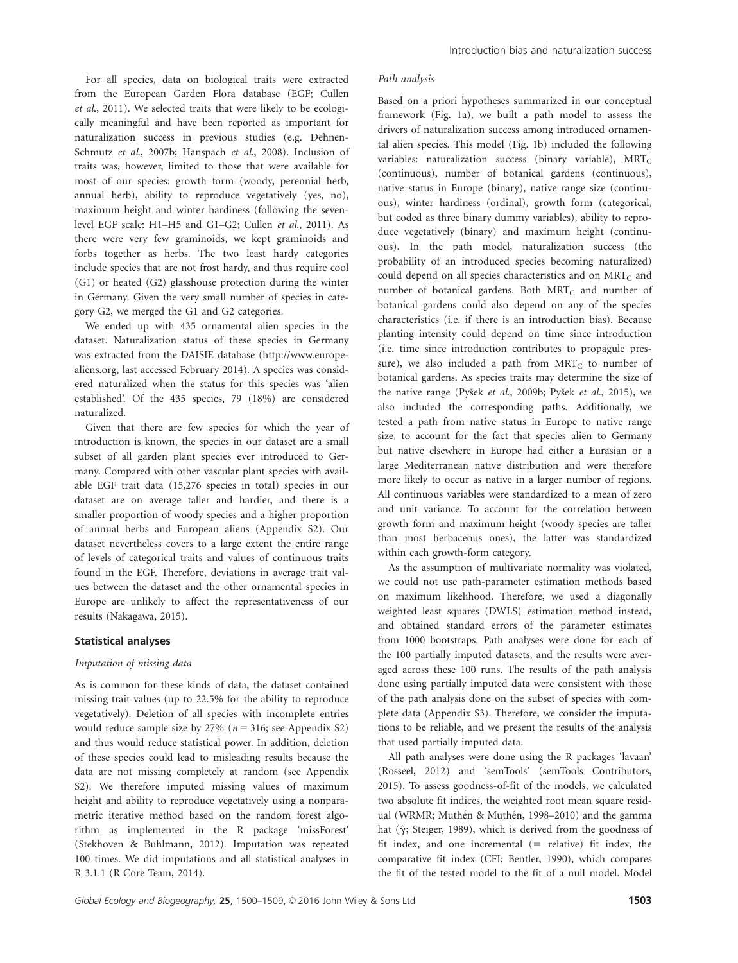For all species, data on biological traits were extracted from the European Garden Flora database (EGF; Cullen et al., 2011). We selected traits that were likely to be ecologically meaningful and have been reported as important for naturalization success in previous studies (e.g. Dehnen-Schmutz et al., 2007b; Hanspach et al., 2008). Inclusion of traits was, however, limited to those that were available for most of our species: growth form (woody, perennial herb, annual herb), ability to reproduce vegetatively (yes, no), maximum height and winter hardiness (following the sevenlevel EGF scale: H1–H5 and G1–G2; Cullen et al., 2011). As there were very few graminoids, we kept graminoids and forbs together as herbs. The two least hardy categories include species that are not frost hardy, and thus require cool (G1) or heated (G2) glasshouse protection during the winter in Germany. Given the very small number of species in category G2, we merged the G1 and G2 categories.

We ended up with 435 ornamental alien species in the dataset. Naturalization status of these species in Germany was extracted from the DAISIE database [\(http://www.europe](http://www.europe-aliens.org)[aliens.org,](http://www.europe-aliens.org) last accessed February 2014). A species was considered naturalized when the status for this species was 'alien established'. Of the 435 species, 79 (18%) are considered naturalized.

Given that there are few species for which the year of introduction is known, the species in our dataset are a small subset of all garden plant species ever introduced to Germany. Compared with other vascular plant species with available EGF trait data (15,276 species in total) species in our dataset are on average taller and hardier, and there is a smaller proportion of woody species and a higher proportion of annual herbs and European aliens (Appendix S2). Our dataset nevertheless covers to a large extent the entire range of levels of categorical traits and values of continuous traits found in the EGF. Therefore, deviations in average trait values between the dataset and the other ornamental species in Europe are unlikely to affect the representativeness of our results (Nakagawa, 2015).

### Statistical analyses

### Imputation of missing data

As is common for these kinds of data, the dataset contained missing trait values (up to 22.5% for the ability to reproduce vegetatively). Deletion of all species with incomplete entries would reduce sample size by 27% ( $n = 316$ ; see Appendix S2) and thus would reduce statistical power. In addition, deletion of these species could lead to misleading results because the data are not missing completely at random (see Appendix S2). We therefore imputed missing values of maximum height and ability to reproduce vegetatively using a nonparametric iterative method based on the random forest algorithm as implemented in the R package 'missForest' (Stekhoven & Buhlmann, 2012). Imputation was repeated 100 times. We did imputations and all statistical analyses in R 3.1.1 (R Core Team, 2014).

#### Path analysis

Based on a priori hypotheses summarized in our conceptual framework (Fig. 1a), we built a path model to assess the drivers of naturalization success among introduced ornamental alien species. This model (Fig. 1b) included the following variables: naturalization success (binary variable),  $MRT_C$ (continuous), number of botanical gardens (continuous), native status in Europe (binary), native range size (continuous), winter hardiness (ordinal), growth form (categorical, but coded as three binary dummy variables), ability to reproduce vegetatively (binary) and maximum height (continuous). In the path model, naturalization success (the probability of an introduced species becoming naturalized) could depend on all species characteristics and on  $MRT_C$  and number of botanical gardens. Both  $MRT_C$  and number of botanical gardens could also depend on any of the species characteristics (i.e. if there is an introduction bias). Because planting intensity could depend on time since introduction (i.e. time since introduction contributes to propagule pressure), we also included a path from  $MRT_C$  to number of botanical gardens. As species traits may determine the size of the native range (Pyšek et al., 2009b; Pyšek et al., 2015), we also included the corresponding paths. Additionally, we tested a path from native status in Europe to native range size, to account for the fact that species alien to Germany but native elsewhere in Europe had either a Eurasian or a large Mediterranean native distribution and were therefore more likely to occur as native in a larger number of regions. All continuous variables were standardized to a mean of zero and unit variance. To account for the correlation between growth form and maximum height (woody species are taller than most herbaceous ones), the latter was standardized within each growth-form category.

As the assumption of multivariate normality was violated, we could not use path-parameter estimation methods based on maximum likelihood. Therefore, we used a diagonally weighted least squares (DWLS) estimation method instead, and obtained standard errors of the parameter estimates from 1000 bootstraps. Path analyses were done for each of the 100 partially imputed datasets, and the results were averaged across these 100 runs. The results of the path analysis done using partially imputed data were consistent with those of the path analysis done on the subset of species with complete data (Appendix S3). Therefore, we consider the imputations to be reliable, and we present the results of the analysis that used partially imputed data.

All path analyses were done using the R packages 'lavaan' (Rosseel, 2012) and 'semTools' (semTools Contributors, 2015). To assess goodness-of-fit of the models, we calculated two absolute fit indices, the weighted root mean square residual (WRMR; Muthén & Muthén, 1998–2010) and the gamma hat ( $\hat{\gamma}$ ; Steiger, 1989), which is derived from the goodness of fit index, and one incremental  $(=$  relative) fit index, the comparative fit index (CFI; Bentler, 1990), which compares the fit of the tested model to the fit of a null model. Model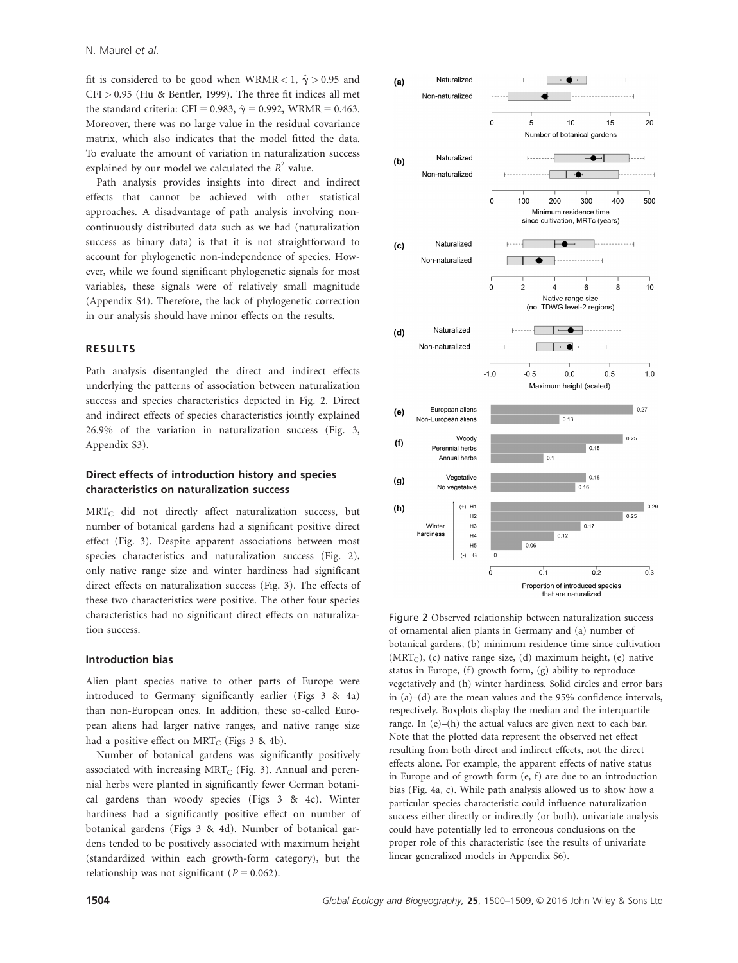fit is considered to be good when WRMR < 1,  $\hat{\gamma}$  > 0.95 and  $CFI > 0.95$  (Hu & Bentler, 1999). The three fit indices all met the standard criteria: CFI = 0.983,  $\hat{\gamma}$  = 0.992, WRMR = 0.463. Moreover, there was no large value in the residual covariance matrix, which also indicates that the model fitted the data. To evaluate the amount of variation in naturalization success explained by our model we calculated the  $R^2$  value.

Path analysis provides insights into direct and indirect effects that cannot be achieved with other statistical approaches. A disadvantage of path analysis involving noncontinuously distributed data such as we had (naturalization success as binary data) is that it is not straightforward to account for phylogenetic non-independence of species. However, while we found significant phylogenetic signals for most variables, these signals were of relatively small magnitude (Appendix S4). Therefore, the lack of phylogenetic correction in our analysis should have minor effects on the results.

### RESULTS

Path analysis disentangled the direct and indirect effects underlying the patterns of association between naturalization success and species characteristics depicted in Fig. 2. Direct and indirect effects of species characteristics jointly explained 26.9% of the variation in naturalization success (Fig. 3, Appendix S3).

## Direct effects of introduction history and species characteristics on naturalization success

MRTC did not directly affect naturalization success, but number of botanical gardens had a significant positive direct effect (Fig. 3). Despite apparent associations between most species characteristics and naturalization success (Fig. 2), only native range size and winter hardiness had significant direct effects on naturalization success (Fig. 3). The effects of these two characteristics were positive. The other four species characteristics had no significant direct effects on naturalization success.

#### Introduction bias

Alien plant species native to other parts of Europe were introduced to Germany significantly earlier (Figs 3 & 4a) than non-European ones. In addition, these so-called European aliens had larger native ranges, and native range size had a positive effect on  $MRT_C$  (Figs 3 & 4b).

Number of botanical gardens was significantly positively associated with increasing  $MRT_C$  (Fig. 3). Annual and perennial herbs were planted in significantly fewer German botanical gardens than woody species (Figs 3 & 4c). Winter hardiness had a significantly positive effect on number of botanical gardens (Figs 3 & 4d). Number of botanical gardens tended to be positively associated with maximum height (standardized within each growth-form category), but the relationship was not significant ( $P = 0.062$ ).



Figure 2 Observed relationship between naturalization success of ornamental alien plants in Germany and (a) number of botanical gardens, (b) minimum residence time since cultivation  $(MRT<sub>C</sub>)$ , (c) native range size, (d) maximum height, (e) native status in Europe, (f) growth form, (g) ability to reproduce vegetatively and (h) winter hardiness. Solid circles and error bars in (a)–(d) are the mean values and the 95% confidence intervals, respectively. Boxplots display the median and the interquartile range. In (e)–(h) the actual values are given next to each bar. Note that the plotted data represent the observed net effect resulting from both direct and indirect effects, not the direct effects alone. For example, the apparent effects of native status in Europe and of growth form (e, f) are due to an introduction bias (Fig. 4a, c). While path analysis allowed us to show how a particular species characteristic could influence naturalization success either directly or indirectly (or both), univariate analysis could have potentially led to erroneous conclusions on the proper role of this characteristic (see the results of univariate linear generalized models in Appendix S6).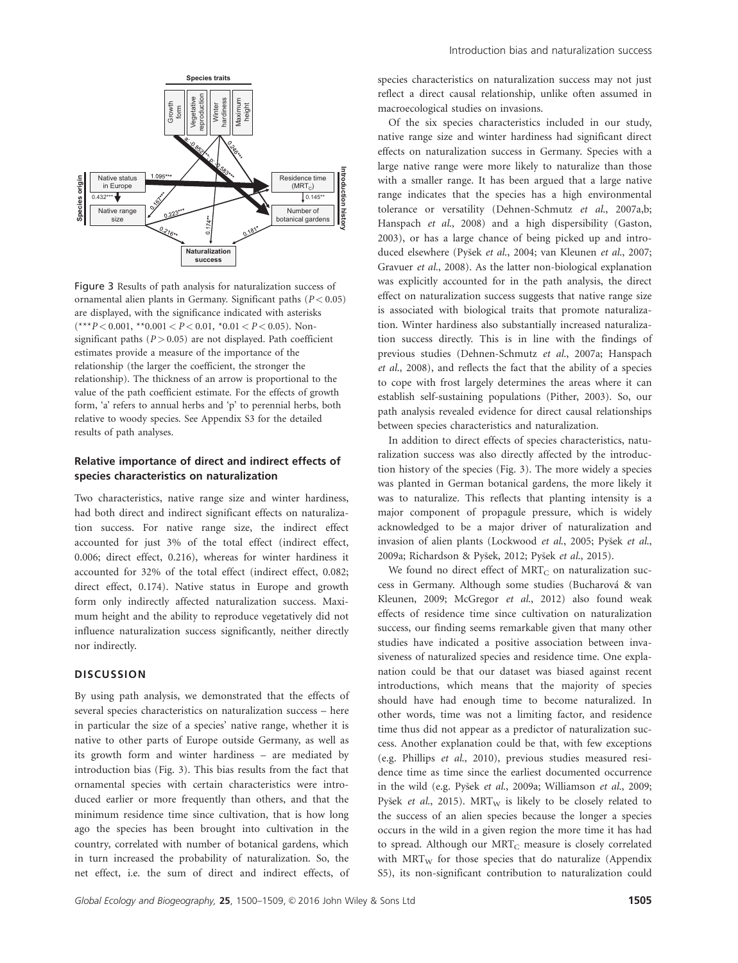

Figure 3 Results of path analysis for naturalization success of ornamental alien plants in Germany. Significant paths  $(P < 0.05)$ are displayed, with the significance indicated with asterisks (\*\*\*P<0.001, \*\*0.001<br/>  $<\!P\!<\!0.01,$  \*0.01<br/>  $<\!P\!<\!0.05).$  Nonsignificant paths ( $P > 0.05$ ) are not displayed. Path coefficient estimates provide a measure of the importance of the relationship (the larger the coefficient, the stronger the relationship). The thickness of an arrow is proportional to the value of the path coefficient estimate. For the effects of growth form, 'a' refers to annual herbs and 'p' to perennial herbs, both relative to woody species. See Appendix S3 for the detailed results of path analyses.

## Relative importance of direct and indirect effects of species characteristics on naturalization

Two characteristics, native range size and winter hardiness, had both direct and indirect significant effects on naturalization success. For native range size, the indirect effect accounted for just 3% of the total effect (indirect effect, 0.006; direct effect, 0.216), whereas for winter hardiness it accounted for 32% of the total effect (indirect effect, 0.082; direct effect, 0.174). Native status in Europe and growth form only indirectly affected naturalization success. Maximum height and the ability to reproduce vegetatively did not influence naturalization success significantly, neither directly nor indirectly.

## **DISCUSSION**

By using path analysis, we demonstrated that the effects of several species characteristics on naturalization success – here in particular the size of a species' native range, whether it is native to other parts of Europe outside Germany, as well as its growth form and winter hardiness – are mediated by introduction bias (Fig. 3). This bias results from the fact that ornamental species with certain characteristics were introduced earlier or more frequently than others, and that the minimum residence time since cultivation, that is how long ago the species has been brought into cultivation in the country, correlated with number of botanical gardens, which in turn increased the probability of naturalization. So, the net effect, i.e. the sum of direct and indirect effects, of species characteristics on naturalization success may not just reflect a direct causal relationship, unlike often assumed in macroecological studies on invasions.

Of the six species characteristics included in our study, native range size and winter hardiness had significant direct effects on naturalization success in Germany. Species with a large native range were more likely to naturalize than those with a smaller range. It has been argued that a large native range indicates that the species has a high environmental tolerance or versatility (Dehnen-Schmutz et al., 2007a,b; Hanspach et al., 2008) and a high dispersibility (Gaston, 2003), or has a large chance of being picked up and introduced elsewhere (Pyšek et al., 2004; van Kleunen et al., 2007; Gravuer et al., 2008). As the latter non-biological explanation was explicitly accounted for in the path analysis, the direct effect on naturalization success suggests that native range size is associated with biological traits that promote naturalization. Winter hardiness also substantially increased naturalization success directly. This is in line with the findings of previous studies (Dehnen-Schmutz et al., 2007a; Hanspach et al., 2008), and reflects the fact that the ability of a species to cope with frost largely determines the areas where it can establish self-sustaining populations (Pither, 2003). So, our path analysis revealed evidence for direct causal relationships between species characteristics and naturalization.

In addition to direct effects of species characteristics, naturalization success was also directly affected by the introduction history of the species (Fig. 3). The more widely a species was planted in German botanical gardens, the more likely it was to naturalize. This reflects that planting intensity is a major component of propagule pressure, which is widely acknowledged to be a major driver of naturalization and invasion of alien plants (Lockwood et al., 2005; Pyšek et al., 2009a; Richardson & Pyšek, 2012; Pyšek et al., 2015).

We found no direct effect of  $MRT_C$  on naturalization success in Germany. Although some studies (Bucharova & van Kleunen, 2009; McGregor et al., 2012) also found weak effects of residence time since cultivation on naturalization success, our finding seems remarkable given that many other studies have indicated a positive association between invasiveness of naturalized species and residence time. One explanation could be that our dataset was biased against recent introductions, which means that the majority of species should have had enough time to become naturalized. In other words, time was not a limiting factor, and residence time thus did not appear as a predictor of naturalization success. Another explanation could be that, with few exceptions (e.g. Phillips et al., 2010), previous studies measured residence time as time since the earliest documented occurrence in the wild (e.g. Pyšek et al., 2009a; Williamson et al., 2009; Pyšek et al., 2015).  $MRT_W$  is likely to be closely related to the success of an alien species because the longer a species occurs in the wild in a given region the more time it has had to spread. Although our  $MRT_C$  measure is closely correlated with  $MRT_{W}$  for those species that do naturalize (Appendix S5), its non-significant contribution to naturalization could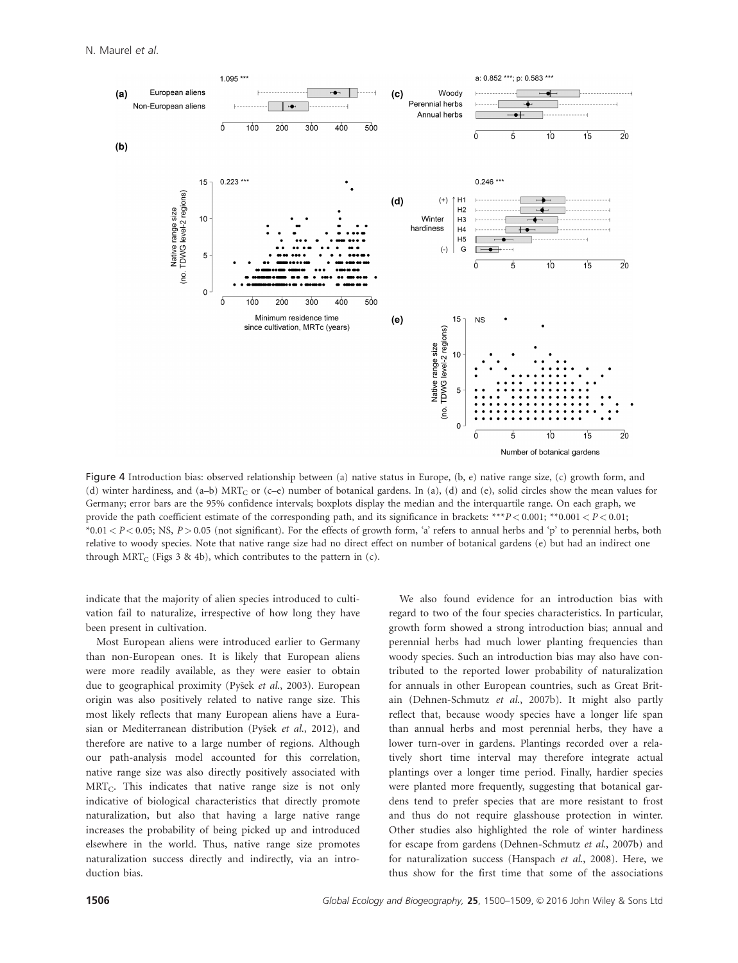

Figure 4 Introduction bias: observed relationship between (a) native status in Europe, (b, e) native range size, (c) growth form, and (d) winter hardiness, and (a–b)  $MRT_C$  or (c–e) number of botanical gardens. In (a), (d) and (e), solid circles show the mean values for Germany; error bars are the 95% confidence intervals; boxplots display the median and the interquartile range. On each graph, we provide the path coefficient estimate of the corresponding path, and its significance in brackets: \*\*\*P < 0.001; \*\*0.001 < P < 0.01;  $*0.01 < P < 0.05$ ; NS,  $P > 0.05$  (not significant). For the effects of growth form, 'a' refers to annual herbs and 'p' to perennial herbs, both relative to woody species. Note that native range size had no direct effect on number of botanical gardens (e) but had an indirect one through MRT<sub>C</sub> (Figs 3 & 4b), which contributes to the pattern in (c).

indicate that the majority of alien species introduced to cultivation fail to naturalize, irrespective of how long they have been present in cultivation.

Most European aliens were introduced earlier to Germany than non-European ones. It is likely that European aliens were more readily available, as they were easier to obtain due to geographical proximity (Pyšek et al., 2003). European origin was also positively related to native range size. This most likely reflects that many European aliens have a Eurasian or Mediterranean distribution (Pyšek et al., 2012), and therefore are native to a large number of regions. Although our path-analysis model accounted for this correlation, native range size was also directly positively associated with  $MRT_C$ . This indicates that native range size is not only indicative of biological characteristics that directly promote naturalization, but also that having a large native range increases the probability of being picked up and introduced elsewhere in the world. Thus, native range size promotes naturalization success directly and indirectly, via an introduction bias.

We also found evidence for an introduction bias with regard to two of the four species characteristics. In particular, growth form showed a strong introduction bias; annual and perennial herbs had much lower planting frequencies than woody species. Such an introduction bias may also have contributed to the reported lower probability of naturalization for annuals in other European countries, such as Great Britain (Dehnen-Schmutz et al., 2007b). It might also partly reflect that, because woody species have a longer life span than annual herbs and most perennial herbs, they have a lower turn-over in gardens. Plantings recorded over a relatively short time interval may therefore integrate actual plantings over a longer time period. Finally, hardier species were planted more frequently, suggesting that botanical gardens tend to prefer species that are more resistant to frost and thus do not require glasshouse protection in winter. Other studies also highlighted the role of winter hardiness for escape from gardens (Dehnen-Schmutz et al., 2007b) and for naturalization success (Hanspach et al., 2008). Here, we thus show for the first time that some of the associations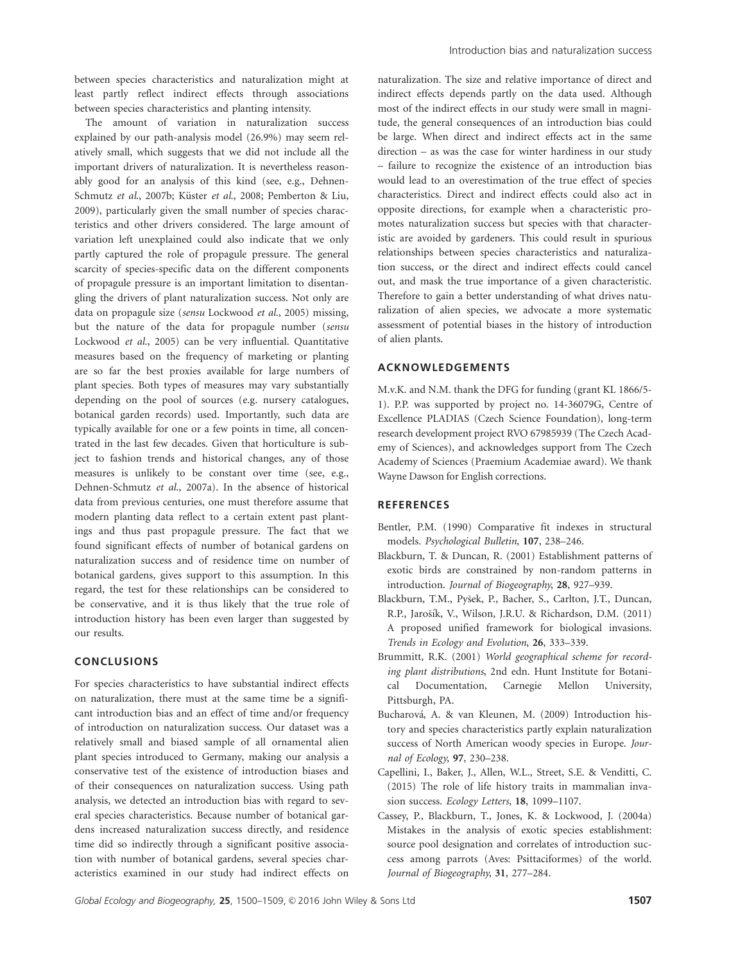between species characteristics and naturalization might at least partly reflect indirect effects through associations between species characteristics and planting intensity.

The amount of variation in naturalization success explained by our path-analysis model (26.9%) may seem relatively small, which suggests that we did not include all the important drivers of naturalization. It is nevertheless reasonably good for an analysis of this kind (see, e.g., Dehnen-Schmutz et al., 2007b; Küster et al., 2008; Pemberton & Liu, 2009), particularly given the small number of species characteristics and other drivers considered. The large amount of variation left unexplained could also indicate that we only partly captured the role of propagule pressure. The general scarcity of species-specific data on the different components of propagule pressure is an important limitation to disentangling the drivers of plant naturalization success. Not only are data on propagule size (sensu Lockwood et al., 2005) missing, but the nature of the data for propagule number (sensu Lockwood et al., 2005) can be very influential. Quantitative measures based on the frequency of marketing or planting are so far the best proxies available for large numbers of plant species. Both types of measures may vary substantially depending on the pool of sources (e.g. nursery catalogues, botanical garden records) used. Importantly, such data are typically available for one or a few points in time, all concentrated in the last few decades. Given that horticulture is subject to fashion trends and historical changes, any of those measures is unlikely to be constant over time (see, e.g., Dehnen-Schmutz et al., 2007a). In the absence of historical data from previous centuries, one must therefore assume that modern planting data reflect to a certain extent past plantings and thus past propagule pressure. The fact that we found significant effects of number of botanical gardens on naturalization success and of residence time on number of botanical gardens, gives support to this assumption. In this regard, the test for these relationships can be considered to be conservative, and it is thus likely that the true role of introduction history has been even larger than suggested by our results.

## **CONCLUSIONS**

For species characteristics to have substantial indirect effects on naturalization, there must at the same time be a significant introduction bias and an effect of time and/or frequency of introduction on naturalization success. Our dataset was a relatively small and biased sample of all ornamental alien plant species introduced to Germany, making our analysis a conservative test of the existence of introduction biases and of their consequences on naturalization success. Using path analysis, we detected an introduction bias with regard to several species characteristics. Because number of botanical gardens increased naturalization success directly, and residence time did so indirectly through a significant positive association with number of botanical gardens, several species characteristics examined in our study had indirect effects on

naturalization. The size and relative importance of direct and indirect effects depends partly on the data used. Although most of the indirect effects in our study were small in magnitude, the general consequences of an introduction bias could be large. When direct and indirect effects act in the same direction – as was the case for winter hardiness in our study – failure to recognize the existence of an introduction bias would lead to an overestimation of the true effect of species characteristics. Direct and indirect effects could also act in opposite directions, for example when a characteristic promotes naturalization success but species with that characteristic are avoided by gardeners. This could result in spurious relationships between species characteristics and naturalization success, or the direct and indirect effects could cancel out, and mask the true importance of a given characteristic. Therefore to gain a better understanding of what drives naturalization of alien species, we advocate a more systematic assessment of potential biases in the history of introduction of alien plants.

### ACKNOWLEDGEMENTS

M.v.K. and N.M. thank the DFG for funding (grant KL 1866/5- 1). P.P. was supported by project no. 14-36079G, Centre of Excellence PLADIAS (Czech Science Foundation), long-term research development project RVO 67985939 (The Czech Academy of Sciences), and acknowledges support from The Czech Academy of Sciences (Praemium Academiae award). We thank Wayne Dawson for English corrections.

## **REFERENCES**

- Bentler, P.M. (1990) Comparative fit indexes in structural models. Psychological Bulletin, 107, 238–246.
- Blackburn, T. & Duncan, R. (2001) Establishment patterns of exotic birds are constrained by non-random patterns in introduction. Journal of Biogeography, 28, 927–939.
- Blackburn, T.M., Pyšek, P., Bacher, S., Carlton, J.T., Duncan, R.P., Jarošík, V., Wilson, J.R.U. & Richardson, D.M. (2011) A proposed unified framework for biological invasions. Trends in Ecology and Evolution, 26, 333–339.
- Brummitt, R.K. (2001) World geographical scheme for recording plant distributions, 2nd edn. Hunt Institute for Botanical Documentation, Carnegie Mellon University, Pittsburgh, PA.
- Bucharová, A. & van Kleunen, M. (2009) Introduction history and species characteristics partly explain naturalization success of North American woody species in Europe. Journal of Ecology, 97, 230–238.
- Capellini, I., Baker, J., Allen, W.L., Street, S.E. & Venditti, C. (2015) The role of life history traits in mammalian invasion success. Ecology Letters, 18, 1099–1107.
- Cassey, P., Blackburn, T., Jones, K. & Lockwood, J. (2004a) Mistakes in the analysis of exotic species establishment: source pool designation and correlates of introduction success among parrots (Aves: Psittaciformes) of the world. Journal of Biogeography, 31, 277–284.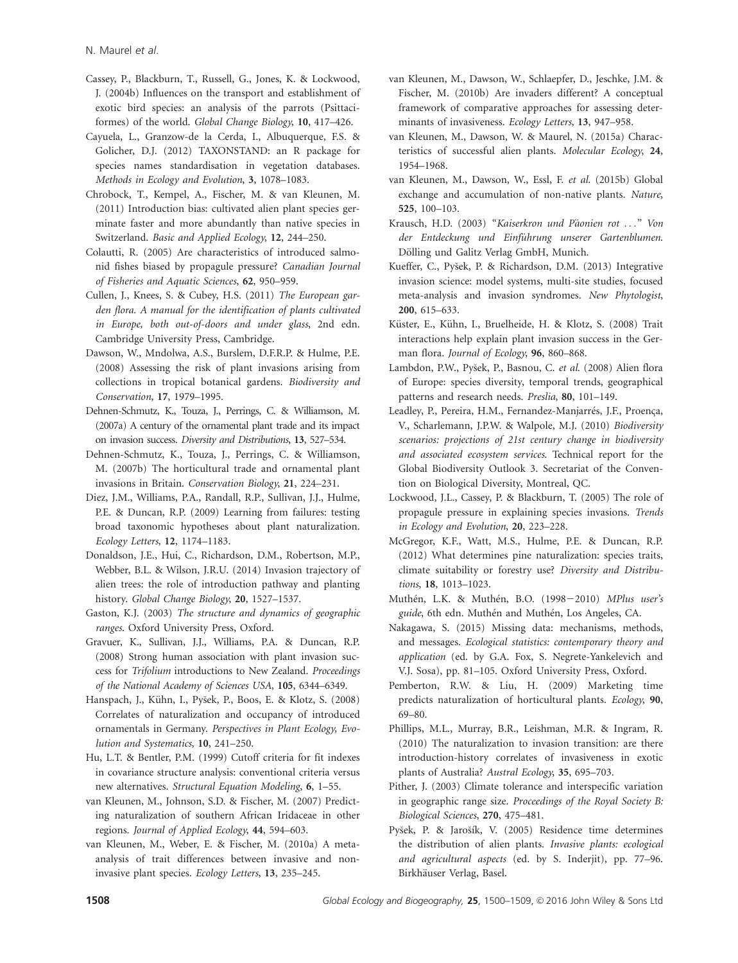N. Maurel et al.

- Cassey, P., Blackburn, T., Russell, G., Jones, K. & Lockwood, J. (2004b) Influences on the transport and establishment of exotic bird species: an analysis of the parrots (Psittaciformes) of the world. Global Change Biology, 10, 417–426.
- Cayuela, L., Granzow-de la Cerda, I., Albuquerque, F.S. & Golicher, D.J. (2012) TAXONSTAND: an R package for species names standardisation in vegetation databases. Methods in Ecology and Evolution, 3, 1078–1083.
- Chrobock, T., Kempel, A., Fischer, M. & van Kleunen, M. (2011) Introduction bias: cultivated alien plant species germinate faster and more abundantly than native species in Switzerland. Basic and Applied Ecology, 12, 244–250.
- Colautti, R. (2005) Are characteristics of introduced salmonid fishes biased by propagule pressure? Canadian Journal of Fisheries and Aquatic Sciences, 62, 950–959.
- Cullen, J., Knees, S. & Cubey, H.S. (2011) The European garden flora. A manual for the identification of plants cultivated in Europe, both out-of-doors and under glass, 2nd edn. Cambridge University Press, Cambridge.
- Dawson, W., Mndolwa, A.S., Burslem, D.F.R.P. & Hulme, P.E. (2008) Assessing the risk of plant invasions arising from collections in tropical botanical gardens. Biodiversity and Conservation, 17, 1979–1995.
- Dehnen-Schmutz, K., Touza, J., Perrings, C. & Williamson, M. (2007a) A century of the ornamental plant trade and its impact on invasion success. Diversity and Distributions, 13, 527–534.
- Dehnen-Schmutz, K., Touza, J., Perrings, C. & Williamson, M. (2007b) The horticultural trade and ornamental plant invasions in Britain. Conservation Biology, 21, 224–231.
- Diez, J.M., Williams, P.A., Randall, R.P., Sullivan, J.J., Hulme, P.E. & Duncan, R.P. (2009) Learning from failures: testing broad taxonomic hypotheses about plant naturalization. Ecology Letters, 12, 1174–1183.
- Donaldson, J.E., Hui, C., Richardson, D.M., Robertson, M.P., Webber, B.L. & Wilson, J.R.U. (2014) Invasion trajectory of alien trees: the role of introduction pathway and planting history. Global Change Biology, 20, 1527–1537.
- Gaston, K.J. (2003) The structure and dynamics of geographic ranges. Oxford University Press, Oxford.
- Gravuer, K., Sullivan, J.J., Williams, P.A. & Duncan, R.P. (2008) Strong human association with plant invasion success for Trifolium introductions to New Zealand. Proceedings of the National Academy of Sciences USA, 105, 6344–6349.
- Hanspach, J., Kühn, I., Pyšek, P., Boos, E. & Klotz, S. (2008) Correlates of naturalization and occupancy of introduced ornamentals in Germany. Perspectives in Plant Ecology, Evolution and Systematics, 10, 241–250.
- Hu, L.T. & Bentler, P.M. (1999) Cutoff criteria for fit indexes in covariance structure analysis: conventional criteria versus new alternatives. Structural Equation Modeling, 6, 1–55.
- van Kleunen, M., Johnson, S.D. & Fischer, M. (2007) Predicting naturalization of southern African Iridaceae in other regions. Journal of Applied Ecology, 44, 594–603.
- van Kleunen, M., Weber, E. & Fischer, M. (2010a) A metaanalysis of trait differences between invasive and noninvasive plant species. Ecology Letters, 13, 235–245.
- van Kleunen, M., Dawson, W., Schlaepfer, D., Jeschke, J.M. & Fischer, M. (2010b) Are invaders different? A conceptual framework of comparative approaches for assessing determinants of invasiveness. Ecology Letters, 13, 947-958.
- van Kleunen, M., Dawson, W. & Maurel, N. (2015a) Characteristics of successful alien plants. Molecular Ecology, 24, 1954–1968.
- van Kleunen, M., Dawson, W., Essl, F. et al. (2015b) Global exchange and accumulation of non-native plants. Nature, 525, 100–103.
- Krausch, H.D. (2003) "Kaiserkron und Päonien rot ..." Von der Entdeckung und Einführung unserer Gartenblumen. Dölling und Galitz Verlag GmbH, Munich.
- Kueffer, C., Pyšek, P. & Richardson, D.M. (2013) Integrative invasion science: model systems, multi-site studies, focused meta-analysis and invasion syndromes. New Phytologist, 200, 615–633.
- Küster, E., Kühn, I., Bruelheide, H. & Klotz, S. (2008) Trait interactions help explain plant invasion success in the German flora. Journal of Ecology, 96, 860–868.
- Lambdon, P.W., Pyšek, P., Basnou, C. et al. (2008) Alien flora of Europe: species diversity, temporal trends, geographical patterns and research needs. Preslia, 80, 101–149.
- Leadley, P., Pereira, H.M., Fernandez-Manjarrés, J.F., Proença, V., Scharlemann, J.P.W. & Walpole, M.J. (2010) Biodiversity scenarios: projections of 21st century change in biodiversity and associated ecosystem services. Technical report for the Global Biodiversity Outlook 3. Secretariat of the Convention on Biological Diversity, Montreal, QC.
- Lockwood, J.L., Cassey, P. & Blackburn, T. (2005) The role of propagule pressure in explaining species invasions. Trends in Ecology and Evolution, 20, 223–228.
- McGregor, K.F., Watt, M.S., Hulme, P.E. & Duncan, R.P. (2012) What determines pine naturalization: species traits, climate suitability or forestry use? Diversity and Distributions, 18, 1013–1023.
- Muthén, L.K. & Muthén, B.O. (1998-2010) MPlus user's guide, 6th edn. Muthén and Muthén, Los Angeles, CA.
- Nakagawa, S. (2015) Missing data: mechanisms, methods, and messages. Ecological statistics: contemporary theory and application (ed. by G.A. Fox, S. Negrete-Yankelevich and V.J. Sosa), pp. 81–105. Oxford University Press, Oxford.
- Pemberton, R.W. & Liu, H. (2009) Marketing time predicts naturalization of horticultural plants. Ecology, 90, 69–80.
- Phillips, M.L., Murray, B.R., Leishman, M.R. & Ingram, R. (2010) The naturalization to invasion transition: are there introduction-history correlates of invasiveness in exotic plants of Australia? Austral Ecology, 35, 695–703.
- Pither, J. (2003) Climate tolerance and interspecific variation in geographic range size. Proceedings of the Royal Society B: Biological Sciences, 270, 475–481.
- Pyšek, P. & Jarošík, V. (2005) Residence time determines the distribution of alien plants. Invasive plants: ecological and agricultural aspects (ed. by S. Inderjit), pp. 77–96. Birkhäuser Verlag, Basel.